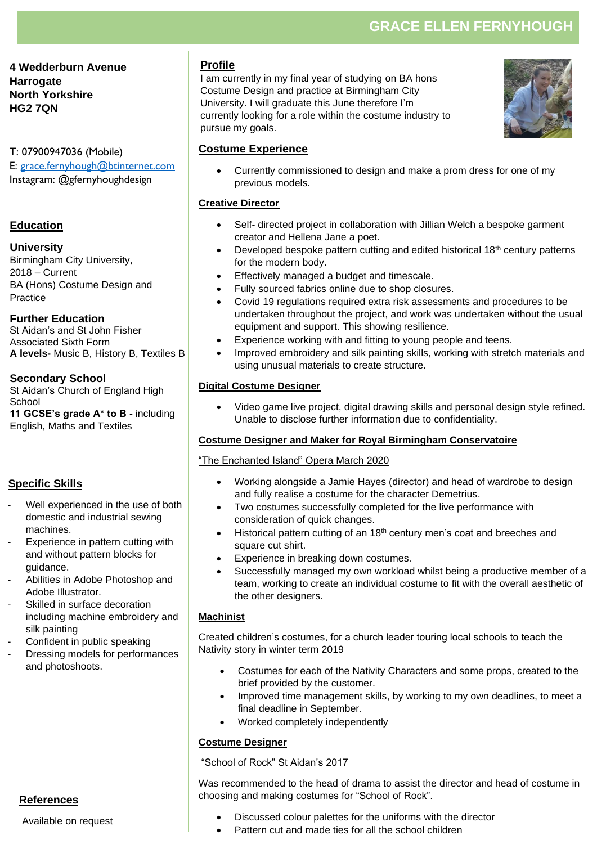# **GRACE ELLEN FERNYHOUGH**

**4 Wedderburn Avenue Harrogate North Yorkshire HG2 7QN**

T: 07900947036 (Mobile) E: [grace.fernyhough@btinternet.com](mailto:grace.fernyhough@btinternet.com)  Instagram: @gfernyhoughdesign

## **Education**

#### **University**

Birmingham City University, 2018 – Current BA (Hons) Costume Design and Practice

#### **Further Education**

St Aidan's and St John Fisher Associated Sixth Form **A levels-** Music B, History B, Textiles B

#### **Secondary School**

St Aidan's Church of England High School **11 GCSE's grade A\* to B -** including

English, Maths and Textiles

# **Specific Skills**

- Well experienced in the use of both domestic and industrial sewing machines.
- Experience in pattern cutting with and without pattern blocks for guidance.
- Abilities in Adobe Photoshop and Adobe Illustrator.
- Skilled in surface decoration including machine embroidery and silk painting
- Confident in public speaking
- Dressing models for performances and photoshoots.

**References**

Available on request

# **Profile**

I am currently in my final year of studying on BA hons Costume Design and practice at Birmingham City University. I will graduate this June therefore I'm currently looking for a role within the costume industry to pursue my goals.



## **Costume Experience**

• Currently commissioned to design and make a prom dress for one of my previous models.

#### **Creative Director**

- Self- directed project in collaboration with Jillian Welch a bespoke garment creator and Hellena Jane a poet.
- Developed bespoke pattern cutting and edited historical 18th century patterns for the modern body.
- Effectively managed a budget and timescale.
- Fully sourced fabrics online due to shop closures.
- Covid 19 regulations required extra risk assessments and procedures to be undertaken throughout the project, and work was undertaken without the usual equipment and support. This showing resilience.
- Experience working with and fitting to young people and teens.
- Improved embroidery and silk painting skills, working with stretch materials and using unusual materials to create structure.

#### **Digital Costume Designer**

• Video game live project, digital drawing skills and personal design style refined. Unable to disclose further information due to confidentiality.

## **Costume Designer and Maker for Royal Birmingham Conservatoire**

#### "The Enchanted Island" Opera March 2020

- Working alongside a Jamie Hayes (director) and head of wardrobe to design and fully realise a costume for the character Demetrius.
- Two costumes successfully completed for the live performance with consideration of quick changes.
- Historical pattern cutting of an 18<sup>th</sup> century men's coat and breeches and square cut shirt.
- Experience in breaking down costumes.
- Successfully managed my own workload whilst being a productive member of a team, working to create an individual costume to fit with the overall aesthetic of the other designers.

#### **Machinist**

Created children's costumes, for a church leader touring local schools to teach the Nativity story in winter term 2019

- Costumes for each of the Nativity Characters and some props, created to the brief provided by the customer.
- Improved time management skills, by working to my own deadlines, to meet a final deadline in September.
- Worked completely independently

## **Costume Designer**

"School of Rock" St Aidan's 2017

Was recommended to the head of drama to assist the director and head of costume in choosing and making costumes for "School of Rock".

- Discussed colour palettes for the uniforms with the director
- Pattern cut and made ties for all the school children